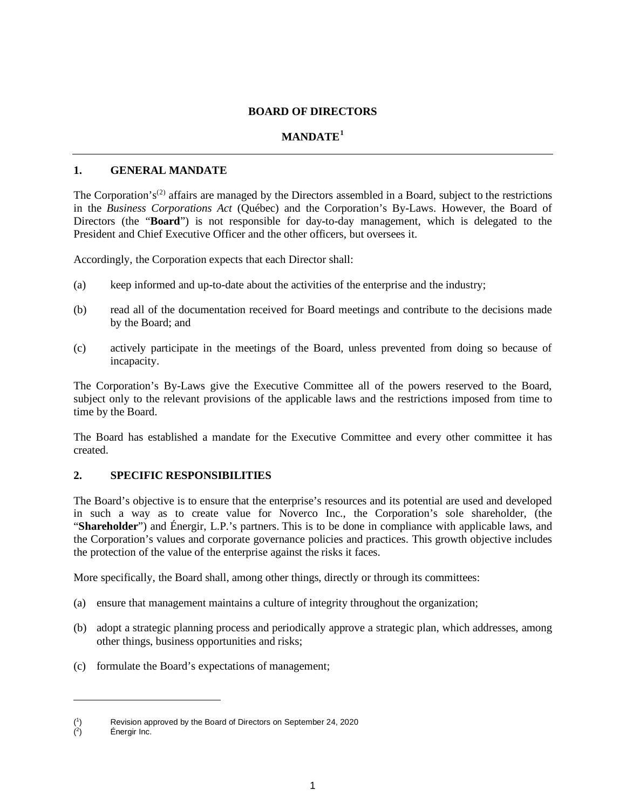#### **BOARD OF DIRECTORS**

## **MANDATE[1](#page-0-0)**

### **1. GENERAL MANDATE**

The Corporation's<sup>([2](#page-0-1))</sup> affairs are managed by the Directors assembled in a Board, subject to the restrictions in the *Business Corporations Act* (Québec) and the Corporation's By-Laws. However, the Board of Directors (the "**Board**") is not responsible for day-to-day management, which is delegated to the President and Chief Executive Officer and the other officers, but oversees it.

Accordingly, the Corporation expects that each Director shall:

- (a) keep informed and up-to-date about the activities of the enterprise and the industry;
- (b) read all of the documentation received for Board meetings and contribute to the decisions made by the Board; and
- (c) actively participate in the meetings of the Board, unless prevented from doing so because of incapacity.

The Corporation's By-Laws give the Executive Committee all of the powers reserved to the Board, subject only to the relevant provisions of the applicable laws and the restrictions imposed from time to time by the Board.

The Board has established a mandate for the Executive Committee and every other committee it has created.

## **2. SPECIFIC RESPONSIBILITIES**

The Board's objective is to ensure that the enterprise's resources and its potential are used and developed in such a way as to create value for Noverco Inc., the Corporation's sole shareholder, (the "**Shareholder**") and Énergir, L.P.'s partners. This is to be done in compliance with applicable laws, and the Corporation's values and corporate governance policies and practices. This growth objective includes the protection of the value of the enterprise against the risks it faces.

More specifically, the Board shall, among other things, directly or through its committees:

- (a) ensure that management maintains a culture of integrity throughout the organization;
- (b) adopt a strategic planning process and periodically approve a strategic plan, which addresses, among other things, business opportunities and risks;
- (c) formulate the Board's expectations of management;

<span id="page-0-0"></span> $(^1$ ) Revision approved by the Board of Directors on September 24, 2020

<span id="page-0-1"></span> $($ <sup>2</sup> ) Énergir Inc.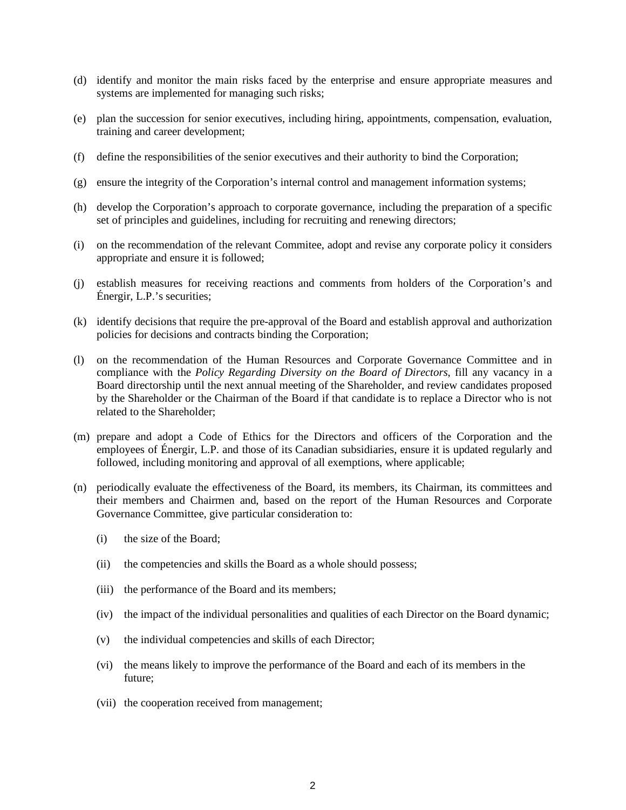- (d) identify and monitor the main risks faced by the enterprise and ensure appropriate measures and systems are implemented for managing such risks;
- (e) plan the succession for senior executives, including hiring, appointments, compensation, evaluation, training and career development;
- (f) define the responsibilities of the senior executives and their authority to bind the Corporation;
- (g) ensure the integrity of the Corporation's internal control and management information systems;
- (h) develop the Corporation's approach to corporate governance, including the preparation of a specific set of principles and guidelines, including for recruiting and renewing directors;
- (i) on the recommendation of the relevant Commitee, adopt and revise any corporate policy it considers appropriate and ensure it is followed;
- (j) establish measures for receiving reactions and comments from holders of the Corporation's and Énergir, L.P.'s securities;
- (k) identify decisions that require the pre-approval of the Board and establish approval and authorization policies for decisions and contracts binding the Corporation;
- (l) on the recommendation of the Human Resources and Corporate Governance Committee and in compliance with the *Policy Regarding Diversity on the Board of Directors*, fill any vacancy in a Board directorship until the next annual meeting of the Shareholder, and review candidates proposed by the Shareholder or the Chairman of the Board if that candidate is to replace a Director who is not related to the Shareholder;
- (m) prepare and adopt a Code of Ethics for the Directors and officers of the Corporation and the employees of Énergir, L.P. and those of its Canadian subsidiaries, ensure it is updated regularly and followed, including monitoring and approval of all exemptions, where applicable;
- (n) periodically evaluate the effectiveness of the Board, its members, its Chairman, its committees and their members and Chairmen and, based on the report of the Human Resources and Corporate Governance Committee, give particular consideration to:
	- (i) the size of the Board;
	- (ii) the competencies and skills the Board as a whole should possess;
	- (iii) the performance of the Board and its members;
	- (iv) the impact of the individual personalities and qualities of each Director on the Board dynamic;
	- (v) the individual competencies and skills of each Director;
	- (vi) the means likely to improve the performance of the Board and each of its members in the future;
	- (vii) the cooperation received from management;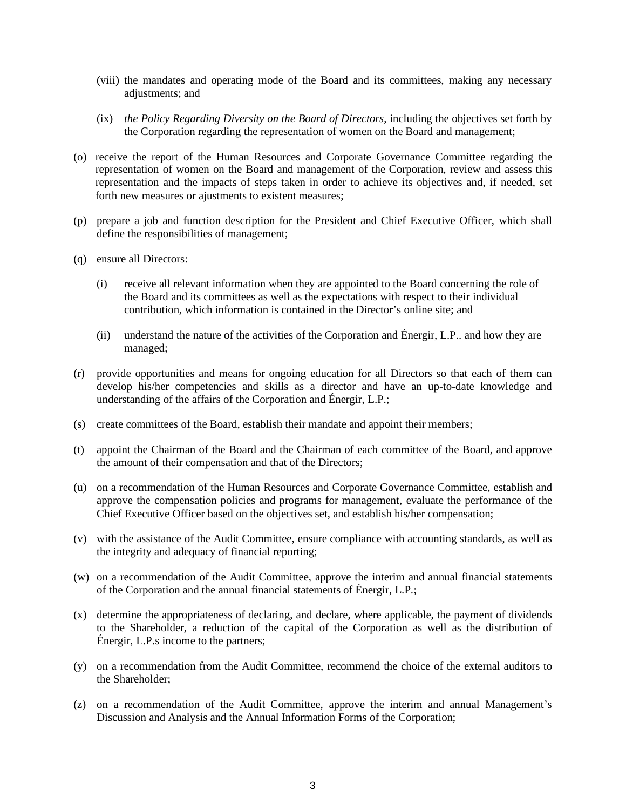- (viii) the mandates and operating mode of the Board and its committees, making any necessary adjustments; and
- (ix) *the Policy Regarding Diversity on the Board of Directors*, including the objectives set forth by the Corporation regarding the representation of women on the Board and management;
- (o) receive the report of the Human Resources and Corporate Governance Committee regarding the representation of women on the Board and management of the Corporation, review and assess this representation and the impacts of steps taken in order to achieve its objectives and, if needed, set forth new measures or ajustments to existent measures;
- (p) prepare a job and function description for the President and Chief Executive Officer, which shall define the responsibilities of management;
- (q) ensure all Directors:
	- (i) receive all relevant information when they are appointed to the Board concerning the role of the Board and its committees as well as the expectations with respect to their individual contribution, which information is contained in the Director's online site; and
	- (ii) understand the nature of the activities of the Corporation and Énergir, L.P.. and how they are managed;
- (r) provide opportunities and means for ongoing education for all Directors so that each of them can develop his/her competencies and skills as a director and have an up-to-date knowledge and understanding of the affairs of the Corporation and Énergir, L.P.;
- (s) create committees of the Board, establish their mandate and appoint their members;
- (t) appoint the Chairman of the Board and the Chairman of each committee of the Board, and approve the amount of their compensation and that of the Directors;
- (u) on a recommendation of the Human Resources and Corporate Governance Committee, establish and approve the compensation policies and programs for management, evaluate the performance of the Chief Executive Officer based on the objectives set, and establish his/her compensation;
- (v) with the assistance of the Audit Committee, ensure compliance with accounting standards, as well as the integrity and adequacy of financial reporting;
- (w) on a recommendation of the Audit Committee, approve the interim and annual financial statements of the Corporation and the annual financial statements of Énergir, L.P.;
- (x) determine the appropriateness of declaring, and declare, where applicable, the payment of dividends to the Shareholder, a reduction of the capital of the Corporation as well as the distribution of Énergir, L.P.s income to the partners;
- (y) on a recommendation from the Audit Committee, recommend the choice of the external auditors to the Shareholder;
- (z) on a recommendation of the Audit Committee, approve the interim and annual Management's Discussion and Analysis and the Annual Information Forms of the Corporation;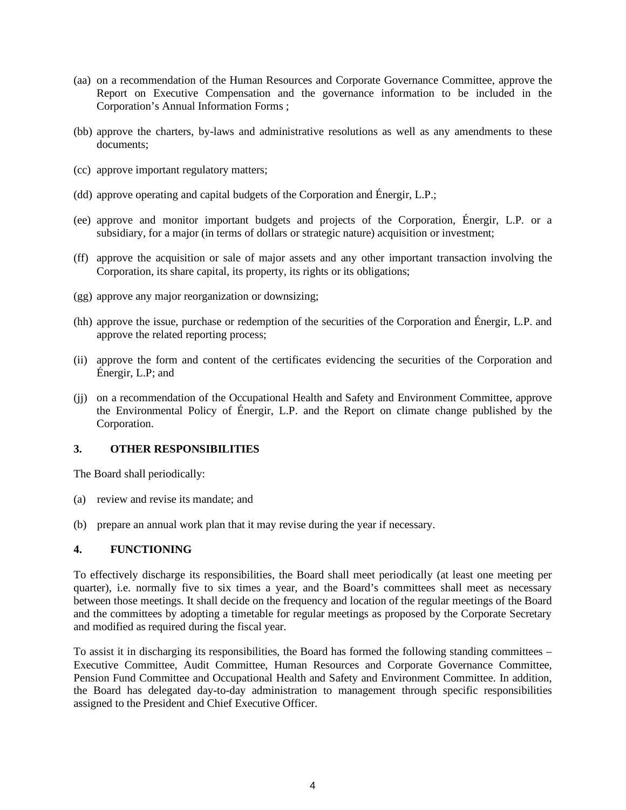- (aa) on a recommendation of the Human Resources and Corporate Governance Committee, approve the Report on Executive Compensation and the governance information to be included in the Corporation's Annual Information Forms ;
- (bb) approve the charters, by-laws and administrative resolutions as well as any amendments to these documents;
- (cc) approve important regulatory matters;
- (dd) approve operating and capital budgets of the Corporation and Énergir, L.P.;
- (ee) approve and monitor important budgets and projects of the Corporation, Énergir, L.P. or a subsidiary, for a major (in terms of dollars or strategic nature) acquisition or investment;
- (ff) approve the acquisition or sale of major assets and any other important transaction involving the Corporation, its share capital, its property, its rights or its obligations;
- (gg) approve any major reorganization or downsizing;
- (hh) approve the issue, purchase or redemption of the securities of the Corporation and Énergir, L.P. and approve the related reporting process;
- (ii) approve the form and content of the certificates evidencing the securities of the Corporation and Énergir, L.P; and
- (jj) on a recommendation of the Occupational Health and Safety and Environment Committee, approve the Environmental Policy of Énergir, L.P. and the Report on climate change published by the Corporation.

#### **3. OTHER RESPONSIBILITIES**

The Board shall periodically:

- (a) review and revise its mandate; and
- (b) prepare an annual work plan that it may revise during the year if necessary.

#### **4. FUNCTIONING**

To effectively discharge its responsibilities, the Board shall meet periodically (at least one meeting per quarter), i.e. normally five to six times a year, and the Board's committees shall meet as necessary between those meetings. It shall decide on the frequency and location of the regular meetings of the Board and the committees by adopting a timetable for regular meetings as proposed by the Corporate Secretary and modified as required during the fiscal year.

To assist it in discharging its responsibilities, the Board has formed the following standing committees – Executive Committee, Audit Committee, Human Resources and Corporate Governance Committee, Pension Fund Committee and Occupational Health and Safety and Environment Committee. In addition, the Board has delegated day-to-day administration to management through specific responsibilities assigned to the President and Chief Executive Officer.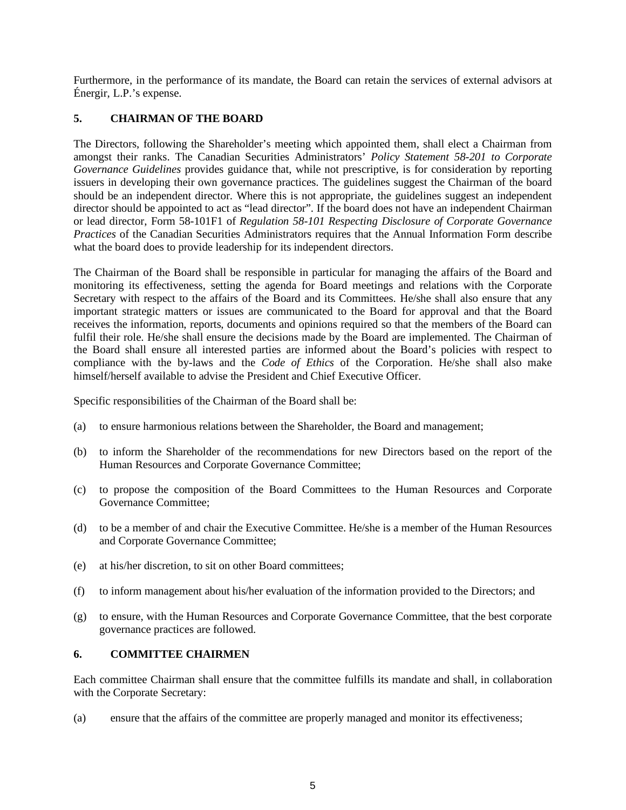Furthermore, in the performance of its mandate, the Board can retain the services of external advisors at Énergir, L.P.'s expense.

# **5. CHAIRMAN OF THE BOARD**

The Directors, following the Shareholder's meeting which appointed them, shall elect a Chairman from amongst their ranks. The Canadian Securities Administrators' *Policy Statement 58-201 to Corporate Governance Guidelines* provides guidance that, while not prescriptive, is for consideration by reporting issuers in developing their own governance practices. The guidelines suggest the Chairman of the board should be an independent director. Where this is not appropriate, the guidelines suggest an independent director should be appointed to act as "lead director". If the board does not have an independent Chairman or lead director, Form 58-101F1 of *Regulation 58-101 Respecting Disclosure of Corporate Governance Practices* of the Canadian Securities Administrators requires that the Annual Information Form describe what the board does to provide leadership for its independent directors.

The Chairman of the Board shall be responsible in particular for managing the affairs of the Board and monitoring its effectiveness, setting the agenda for Board meetings and relations with the Corporate Secretary with respect to the affairs of the Board and its Committees. He/she shall also ensure that any important strategic matters or issues are communicated to the Board for approval and that the Board receives the information, reports, documents and opinions required so that the members of the Board can fulfil their role. He/she shall ensure the decisions made by the Board are implemented. The Chairman of the Board shall ensure all interested parties are informed about the Board's policies with respect to compliance with the by-laws and the *Code of Ethics* of the Corporation. He/she shall also make himself/herself available to advise the President and Chief Executive Officer.

Specific responsibilities of the Chairman of the Board shall be:

- (a) to ensure harmonious relations between the Shareholder, the Board and management;
- (b) to inform the Shareholder of the recommendations for new Directors based on the report of the Human Resources and Corporate Governance Committee;
- (c) to propose the composition of the Board Committees to the Human Resources and Corporate Governance Committee;
- (d) to be a member of and chair the Executive Committee. He/she is a member of the Human Resources and Corporate Governance Committee;
- (e) at his/her discretion, to sit on other Board committees;
- (f) to inform management about his/her evaluation of the information provided to the Directors; and
- (g) to ensure, with the Human Resources and Corporate Governance Committee, that the best corporate governance practices are followed.

## **6. COMMITTEE CHAIRMEN**

Each committee Chairman shall ensure that the committee fulfills its mandate and shall, in collaboration with the Corporate Secretary:

(a) ensure that the affairs of the committee are properly managed and monitor its effectiveness;